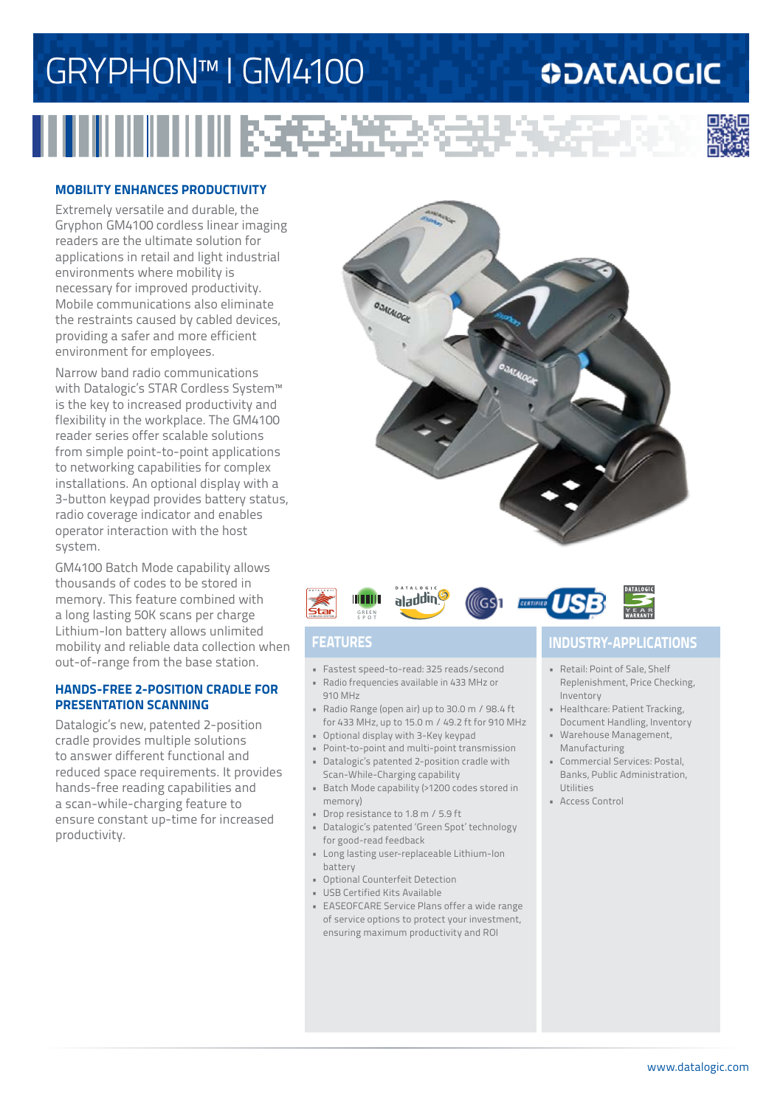# GRYPHON™ I GM4100

## **ODATALOGIC**



### **MOBILITY ENHANCES PRODUCTIVITY**

Extremely versatile and durable, the Gryphon GM4100 cordless linear imaging readers are the ultimate solution for applications in retail and light industrial environments where mobility is necessary for improved productivity. Mobile communications also eliminate the restraints caused by cabled devices, providing a safer and more efficient environment for employees.

Narrow band radio communications with Datalogic's STAR Cordless System™ is the key to increased productivity and flexibility in the workplace. The GM4100 reader series offer scalable solutions from simple point-to-point applications to networking capabilities for complex installations. An optional display with a 3-button keypad provides battery status, radio coverage indicator and enables operator interaction with the host system.

GM4100 Batch Mode capability allows thousands of codes to be stored in memory. This feature combined with a long lasting 50K scans per charge Lithium-Ion battery allows unlimited mobility and reliable data collection when out-of-range from the base station.

### **HANDS-FREE 2-POSITION CRADLE FOR PRESENTATION SCANNING**

Datalogic's new, patented 2-position cradle provides multiple solutions to answer different functional and reduced space requirements. It provides hands-free reading capabilities and a scan-while-charging feature to ensure constant up-time for increased productivity.





收起某人

- Fastest speed-to-read: 325 reads/second • Radio frequencies available in 433 MHz or
- 910 MHz
- Radio Range (open air) up to 30.0 m / 98.4 ft for 433 MHz, up to 15.0 m / 49.2 ft for 910 MHz
- Optional display with 3-Key keypad
- Point-to-point and multi-point transmission • Datalogic's patented 2-position cradle with
- Scan-While-Charging capability • Batch Mode capability (>1200 codes stored in memory)
- Drop resistance to 1.8 m / 5.9 ft
- Datalogic's patented 'Green Spot' technology for good-read feedback
- Long lasting user-replaceable Lithium-Ion battery
- Optional Counterfeit Detection
- USB Certified Kits Available
- EASEOFCARE Service Plans offer a wide range of service options to protect your investment, ensuring maximum productivity and ROI

### **FEATURES INDUSTRY-APPLICATIONS**

- Retail: Point of Sale, Shelf Replenishment, Price Checking, Inventory
- Healthcare: Patient Tracking, Document Handling, Inventory
- Warehouse Management, Manufacturing
- Commercial Services: Postal, Banks, Public Administration, Utilities
- Access Control